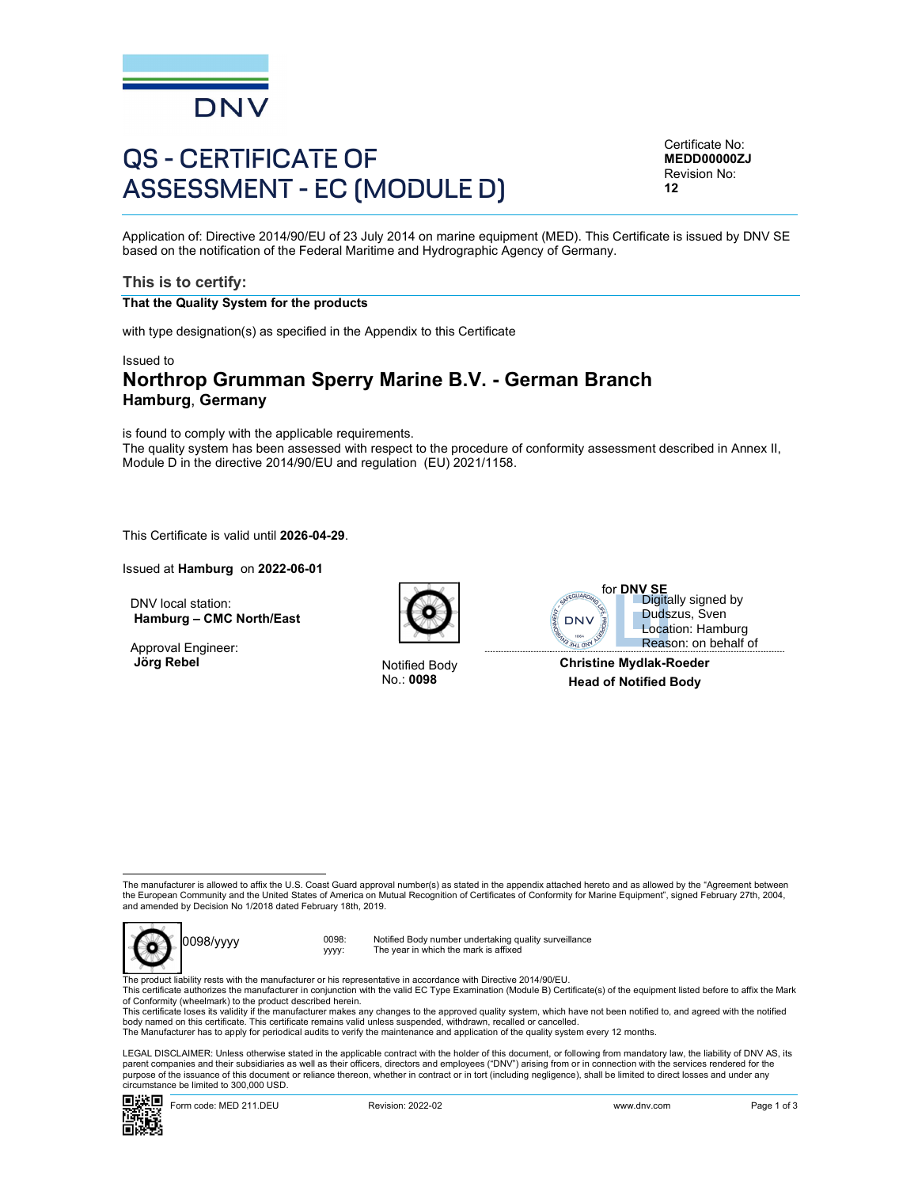

# QS - CERTIFICATE OF ASSESSMENT - EC (MODULE D)

Certificate No: MEDD00000ZJ Revision No: 12

Application of: Directive 2014/90/EU of 23 July 2014 on marine equipment (MED). This Certificate is issued by DNV SE based on the notification of the Federal Maritime and Hydrographic Agency of Germany.

### This is to certify:

#### That the Quality System for the products

with type designation(s) as specified in the Appendix to this Certificate

#### Issued to

# Northrop Grumman Sperry Marine B.V. - German Branch Hamburg, Germany

is found to comply with the applicable requirements.

The quality system has been assessed with respect to the procedure of conformity assessment described in Annex II, Module D in the directive 2014/90/EU and regulation (EU) 2021/1158.

This Certificate is valid until 2026-04-29.

Issued at Hamburg on 2022-06-01

DNV local station: Hamburg – CMC North/East

Approval Engineer:<br>Jörg Rebel



**Notified Body** 



 Reason: on behalf ofDigitally signed by Dudszus, Sven Location: Hamburg

No.: 0098 Head of Notified Body Christine Mydlak-Roeder

The manufacturer is allowed to affix the U.S. Coast Guard approval number(s) as stated in the appendix attached hereto and as allowed by the "Agreement between the European Community and the United States of America on Mutual Recognition of Certificates of Conformity for Marine Equipment", signed February 27th, 2004, and amended by Decision No 1/2018 dated February 18th, 2019.



0098/yyyy 0098: yyyy: Notified Body number undertaking quality surveillance The year in which the mark is affixed

The product liability rests with the manufacturer or his representative in accordance with Directive 2014/90/EU.<br>This certificate authorizes the manufacturer in conjunction with the valid EC Type Examination (Module B) Cer of Conformity (wheelmark) to the product described herein.

This certificate loses its validity if the manufacturer makes any changes to the approved quality system, which have not been notified to, and agreed with the notified<br>body named on this certificate. This certificate remai

The Manufacturer has to apply for periodical audits to verify the maintenance and application of the quality system every 12 months.

Form is allowed to affective to Court Guard Agreed product product in the approximation of the content of the content of the content of the content of the content of the content of the content of the content of the content LEGAL DISCLAIMER: Unless otherwise stated in the applicable contract with the holder of this document, or following from mandatory law, the liability of DNV AS, its parent companies and their subsidiaries as well as their officers, directors and employees ("DNV") arising from or in connection with the services rendered for the purpose of the issuance of this document or reliance thereon, whether in contract or in tort (including negligence), shall be limited to direct losses and under any circumstance be limited to 300,000 USD.

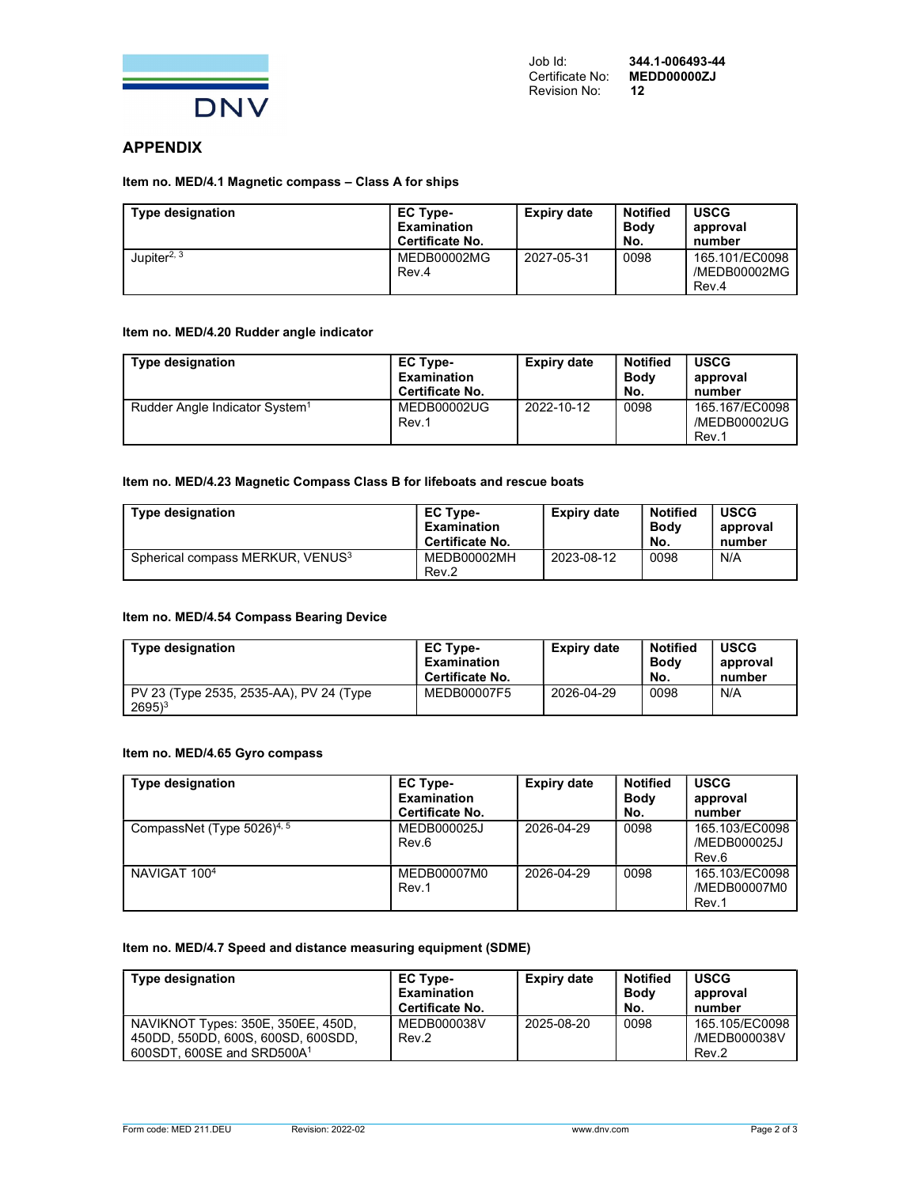

# APPENDIX

#### Item no. MED/4.1 Magnetic compass – Class A for ships

| <b>Type designation</b> | <b>EC Type-</b><br><b>Examination</b><br>Certificate No. | <b>Expiry date</b> | <b>Notified</b><br><b>Body</b><br>No. | <b>USCG</b><br>approval<br>number       |
|-------------------------|----------------------------------------------------------|--------------------|---------------------------------------|-----------------------------------------|
| Jupiter <sup>2, 3</sup> | <b>MEDB00002MG</b><br>Rev.4                              | 2027-05-31         | 0098                                  | 165.101/EC0098<br>/MEDB00002MG<br>Rev.4 |

#### Item no. MED/4.20 Rudder angle indicator

| <b>Type designation</b>                    | <b>EC Type-</b><br>Examination<br><b>Certificate No.</b> | <b>Expiry date</b> | <b>Notified</b><br><b>Body</b><br>No. | <b>USCG</b><br>approval<br>number       |
|--------------------------------------------|----------------------------------------------------------|--------------------|---------------------------------------|-----------------------------------------|
| Rudder Angle Indicator System <sup>1</sup> | MEDB00002UG<br>Rev.1                                     | 2022-10-12         | 0098                                  | 165.167/EC0098<br>/MEDB00002UG<br>Rev.1 |

#### Item no. MED/4.23 Magnetic Compass Class B for lifeboats and rescue boats

| <b>Type designation</b>          | EC Type-<br><b>Examination</b><br>Certificate No. | Expiry date | <b>Notified</b><br><b>Body</b><br>No. | <b>USCG</b><br>approval<br>number |
|----------------------------------|---------------------------------------------------|-------------|---------------------------------------|-----------------------------------|
| Spherical compass MERKUR, VENUS3 | MEDB00002MH<br>Rev.2                              | 2023-08-12  | 0098                                  | N/A                               |

#### Item no. MED/4.54 Compass Bearing Device

| <b>Type designation</b>                                        | <b>EC Type-</b><br><b>Examination</b><br>Certificate No. | Expiry date | <b>Notified</b><br><b>Body</b><br>No. | <b>USCG</b><br>approval<br>number |
|----------------------------------------------------------------|----------------------------------------------------------|-------------|---------------------------------------|-----------------------------------|
| PV 23 (Type 2535, 2535-AA), PV 24 (Type<br>$2695$ <sup>3</sup> | MEDB00007F5                                              | 2026-04-29  | 0098                                  | N/A                               |

#### Item no. MED/4.65 Gyro compass

| <b>Type designation</b>                | <b>EC Type-</b><br><b>Examination</b><br>Certificate No. | <b>Expiry date</b> | <b>Notified</b><br><b>Body</b><br>No. | <b>USCG</b><br>approval<br>number       |
|----------------------------------------|----------------------------------------------------------|--------------------|---------------------------------------|-----------------------------------------|
| CompassNet (Type 5026) <sup>4, 5</sup> | MEDB000025J<br>Rev.6                                     | 2026-04-29         | 0098                                  | 165.103/EC0098<br>/MEDB000025J<br>Rev.6 |
| NAVIGAT 100 <sup>4</sup>               | MEDB00007M0<br>Rev.1                                     | 2026-04-29         | 0098                                  | 165.103/EC0098<br>/MEDB00007M0<br>Rev.1 |

#### Item no. MED/4.7 Speed and distance measuring equipment (SDME)

| <b>Type designation</b>                                                                                            | <b>EC Type-</b><br>Examination<br>Certificate No. | <b>Expiry date</b> | <b>Notified</b><br><b>Body</b><br>No. | <b>USCG</b><br>approval<br>number       |
|--------------------------------------------------------------------------------------------------------------------|---------------------------------------------------|--------------------|---------------------------------------|-----------------------------------------|
| NAVIKNOT Types: 350E, 350EE, 450D,<br>450DD, 550DD, 600S, 600SD, 600SDD,<br>600SDT, 600SE and SRD500A <sup>1</sup> | MEDB000038V<br>Rev.2                              | 2025-08-20         | 0098                                  | 165.105/EC0098<br>/MEDB000038V<br>Rev.2 |